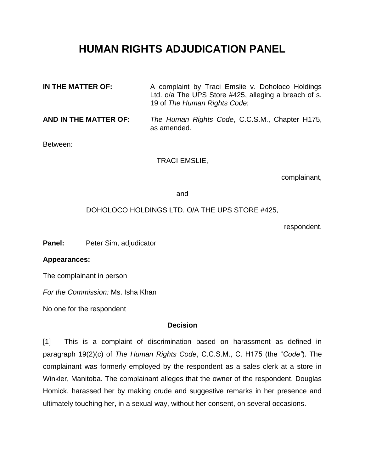# **HUMAN RIGHTS ADJUDICATION PANEL**

| IN THE MATTER OF:     | A complaint by Traci Emslie v. Doholoco Holdings<br>Ltd. o/a The UPS Store #425, alleging a breach of s.<br>19 of The Human Rights Code; |
|-----------------------|------------------------------------------------------------------------------------------------------------------------------------------|
| AND IN THE MATTER OF: | The Human Rights Code, C.C.S.M., Chapter H175,<br>as amended.                                                                            |

Between:

TRACI EMSLIE,

complainant,

and

#### DOHOLOCO HOLDINGS LTD. O/A THE UPS STORE #425,

respondent.

Panel: Peter Sim, adjudicator

#### **Appearances:**

The complainant in person

*For the Commission:* Ms. Isha Khan

No one for the respondent

#### **Decision**

[1] This is a complaint of discrimination based on harassment as defined in paragraph 19(2)(c) of *The Human Rights Code*, C.C.S.M., C. H175 (the "*Code"*). The complainant was formerly employed by the respondent as a sales clerk at a store in Winkler, Manitoba. The complainant alleges that the owner of the respondent, Douglas Homick, harassed her by making crude and suggestive remarks in her presence and ultimately touching her, in a sexual way, without her consent, on several occasions.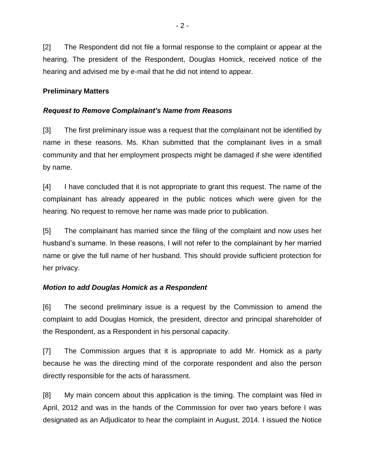[2] The Respondent did not file a formal response to the complaint or appear at the hearing. The president of the Respondent, Douglas Homick, received notice of the hearing and advised me by e-mail that he did not intend to appear.

## **Preliminary Matters**

# *Request to Remove Complainant's Name from Reasons*

[3] The first preliminary issue was a request that the complainant not be identified by name in these reasons. Ms. Khan submitted that the complainant lives in a small community and that her employment prospects might be damaged if she were identified by name.

[4] I have concluded that it is not appropriate to grant this request. The name of the complainant has already appeared in the public notices which were given for the hearing. No request to remove her name was made prior to publication.

[5] The complainant has married since the filing of the complaint and now uses her husband's surname. In these reasons, I will not refer to the complainant by her married name or give the full name of her husband. This should provide sufficient protection for her privacy.

# *Motion to add Douglas Homick as a Respondent*

[6] The second preliminary issue is a request by the Commission to amend the complaint to add Douglas Homick, the president, director and principal shareholder of the Respondent, as a Respondent in his personal capacity.

[7] The Commission argues that it is appropriate to add Mr. Homick as a party because he was the directing mind of the corporate respondent and also the person directly responsible for the acts of harassment.

[8] My main concern about this application is the timing. The complaint was filed in April, 2012 and was in the hands of the Commission for over two years before I was designated as an Adjudicator to hear the complaint in August, 2014. I issued the Notice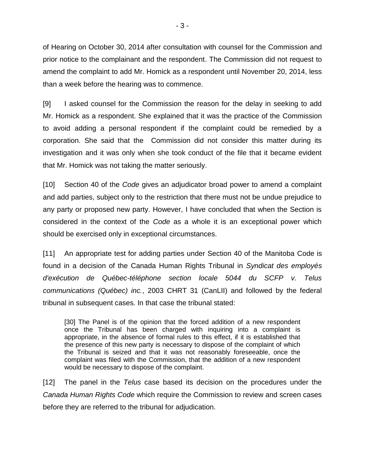of Hearing on October 30, 2014 after consultation with counsel for the Commission and prior notice to the complainant and the respondent. The Commission did not request to amend the complaint to add Mr. Homick as a respondent until November 20, 2014, less than a week before the hearing was to commence.

[9] I asked counsel for the Commission the reason for the delay in seeking to add Mr. Homick as a respondent. She explained that it was the practice of the Commission to avoid adding a personal respondent if the complaint could be remedied by a corporation. She said that the Commission did not consider this matter during its investigation and it was only when she took conduct of the file that it became evident that Mr. Homick was not taking the matter seriously.

[10] Section 40 of the *Code* gives an adjudicator broad power to amend a complaint and add parties, subject only to the restriction that there must not be undue prejudice to any party or proposed new party. However, I have concluded that when the Section is considered in the context of the *Code* as a whole it is an exceptional power which should be exercised only in exceptional circumstances.

[11] An appropriate test for adding parties under Section 40 of the Manitoba Code is found in a decision of the Canada Human Rights Tribunal in *Syndicat des employés d'exécution de Québec-téléphone section locale 5044 du SCFP v. Telus communications (Québec) inc.*, 2003 CHRT 31 (CanLII) and followed by the federal tribunal in subsequent cases. In that case the tribunal stated:

[30] The Panel is of the opinion that the forced addition of a new respondent once the Tribunal has been charged with inquiring into a complaint is appropriate, in the absence of formal rules to this effect, if it is established that the presence of this new party is necessary to dispose of the complaint of which the Tribunal is seized and that it was not reasonably foreseeable, once the complaint was filed with the Commission, that the addition of a new respondent would be necessary to dispose of the complaint.

[12] The panel in the *Telus* case based its decision on the procedures under the *Canada Human Rights Code* which require the Commission to review and screen cases before they are referred to the tribunal for adjudication.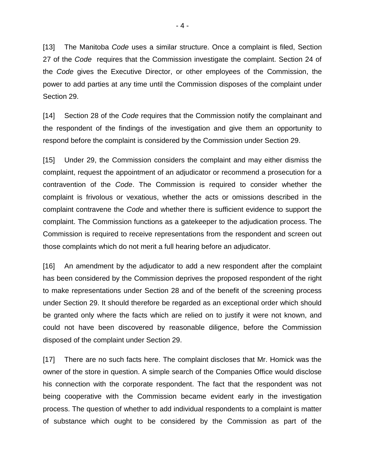[13] The Manitoba *Code* uses a similar structure. Once a complaint is filed, Section 27 of the *Code* requires that the Commission investigate the complaint. Section 24 of the *Code* gives the Executive Director, or other employees of the Commission, the power to add parties at any time until the Commission disposes of the complaint under Section 29.

[14] Section 28 of the *Code* requires that the Commission notify the complainant and the respondent of the findings of the investigation and give them an opportunity to respond before the complaint is considered by the Commission under Section 29.

[15] Under 29, the Commission considers the complaint and may either dismiss the complaint, request the appointment of an adjudicator or recommend a prosecution for a contravention of the *Code*. The Commission is required to consider whether the complaint is frivolous or vexatious, whether the acts or omissions described in the complaint contravene the *Code* and whether there is sufficient evidence to support the complaint. The Commission functions as a gatekeeper to the adjudication process. The Commission is required to receive representations from the respondent and screen out those complaints which do not merit a full hearing before an adjudicator.

[16] An amendment by the adjudicator to add a new respondent after the complaint has been considered by the Commission deprives the proposed respondent of the right to make representations under Section 28 and of the benefit of the screening process under Section 29. It should therefore be regarded as an exceptional order which should be granted only where the facts which are relied on to justify it were not known, and could not have been discovered by reasonable diligence, before the Commission disposed of the complaint under Section 29.

[17] There are no such facts here. The complaint discloses that Mr. Homick was the owner of the store in question. A simple search of the Companies Office would disclose his connection with the corporate respondent. The fact that the respondent was not being cooperative with the Commission became evident early in the investigation process. The question of whether to add individual respondents to a complaint is matter of substance which ought to be considered by the Commission as part of the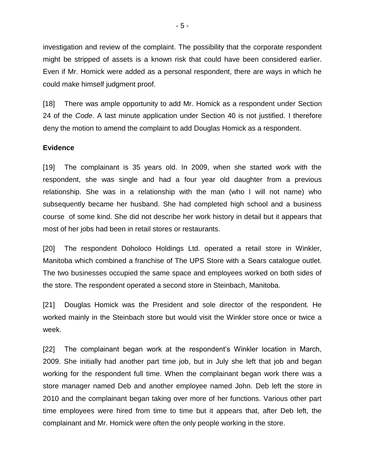investigation and review of the complaint. The possibility that the corporate respondent might be stripped of assets is a known risk that could have been considered earlier. Even if Mr. Homick were added as a personal respondent, there are ways in which he could make himself judgment proof.

[18] There was ample opportunity to add Mr. Homick as a respondent under Section 24 of the *Code*. A last minute application under Section 40 is not justified. I therefore deny the motion to amend the complaint to add Douglas Homick as a respondent.

#### **Evidence**

[19] The complainant is 35 years old. In 2009, when she started work with the respondent, she was single and had a four year old daughter from a previous relationship. She was in a relationship with the man (who I will not name) who subsequently became her husband. She had completed high school and a business course of some kind. She did not describe her work history in detail but it appears that most of her jobs had been in retail stores or restaurants.

[20] The respondent Doholoco Holdings Ltd. operated a retail store in Winkler, Manitoba which combined a franchise of The UPS Store with a Sears catalogue outlet. The two businesses occupied the same space and employees worked on both sides of the store. The respondent operated a second store in Steinbach, Manitoba.

[21] Douglas Homick was the President and sole director of the respondent. He worked mainly in the Steinbach store but would visit the Winkler store once or twice a week.

[22] The complainant began work at the respondent's Winkler location in March, 2009. She initially had another part time job, but in July she left that job and began working for the respondent full time. When the complainant began work there was a store manager named Deb and another employee named John. Deb left the store in 2010 and the complainant began taking over more of her functions. Various other part time employees were hired from time to time but it appears that, after Deb left, the complainant and Mr. Homick were often the only people working in the store.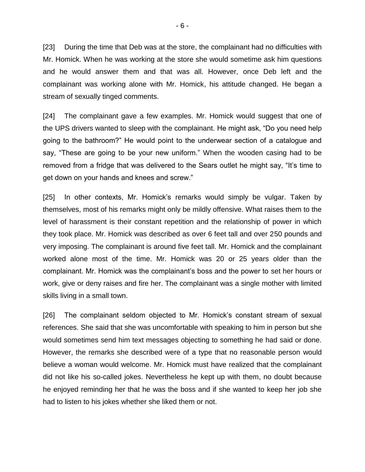[23] During the time that Deb was at the store, the complainant had no difficulties with Mr. Homick. When he was working at the store she would sometime ask him questions and he would answer them and that was all. However, once Deb left and the complainant was working alone with Mr. Homick, his attitude changed. He began a stream of sexually tinged comments.

[24] The complainant gave a few examples. Mr. Homick would suggest that one of the UPS drivers wanted to sleep with the complainant. He might ask, "Do you need help going to the bathroom?" He would point to the underwear section of a catalogue and say, "These are going to be your new uniform." When the wooden casing had to be removed from a fridge that was delivered to the Sears outlet he might say, "It's time to get down on your hands and knees and screw."

[25] In other contexts, Mr. Homick's remarks would simply be vulgar. Taken by themselves, most of his remarks might only be mildly offensive. What raises them to the level of harassment is their constant repetition and the relationship of power in which they took place. Mr. Homick was described as over 6 feet tall and over 250 pounds and very imposing. The complainant is around five feet tall. Mr. Homick and the complainant worked alone most of the time. Mr. Homick was 20 or 25 years older than the complainant. Mr. Homick was the complainant's boss and the power to set her hours or work, give or deny raises and fire her. The complainant was a single mother with limited skills living in a small town.

[26] The complainant seldom objected to Mr. Homick's constant stream of sexual references. She said that she was uncomfortable with speaking to him in person but she would sometimes send him text messages objecting to something he had said or done. However, the remarks she described were of a type that no reasonable person would believe a woman would welcome. Mr. Homick must have realized that the complainant did not like his so-called jokes. Nevertheless he kept up with them, no doubt because he enjoyed reminding her that he was the boss and if she wanted to keep her job she had to listen to his jokes whether she liked them or not.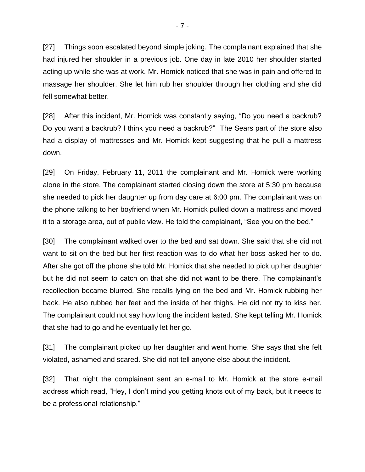[27] Things soon escalated beyond simple joking. The complainant explained that she had injured her shoulder in a previous job. One day in late 2010 her shoulder started acting up while she was at work. Mr. Homick noticed that she was in pain and offered to massage her shoulder. She let him rub her shoulder through her clothing and she did fell somewhat better.

[28] After this incident, Mr. Homick was constantly saying, "Do you need a backrub? Do you want a backrub? I think you need a backrub?" The Sears part of the store also had a display of mattresses and Mr. Homick kept suggesting that he pull a mattress down.

[29] On Friday, February 11, 2011 the complainant and Mr. Homick were working alone in the store. The complainant started closing down the store at 5:30 pm because she needed to pick her daughter up from day care at 6:00 pm. The complainant was on the phone talking to her boyfriend when Mr. Homick pulled down a mattress and moved it to a storage area, out of public view. He told the complainant, "See you on the bed."

[30] The complainant walked over to the bed and sat down. She said that she did not want to sit on the bed but her first reaction was to do what her boss asked her to do. After she got off the phone she told Mr. Homick that she needed to pick up her daughter but he did not seem to catch on that she did not want to be there. The complainant's recollection became blurred. She recalls lying on the bed and Mr. Homick rubbing her back. He also rubbed her feet and the inside of her thighs. He did not try to kiss her. The complainant could not say how long the incident lasted. She kept telling Mr. Homick that she had to go and he eventually let her go.

[31] The complainant picked up her daughter and went home. She says that she felt violated, ashamed and scared. She did not tell anyone else about the incident.

[32] That night the complainant sent an e-mail to Mr. Homick at the store e-mail address which read, "Hey, I don't mind you getting knots out of my back, but it needs to be a professional relationship."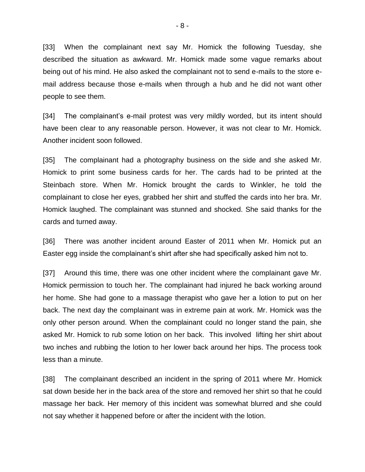[33] When the complainant next say Mr. Homick the following Tuesday, she described the situation as awkward. Mr. Homick made some vague remarks about being out of his mind. He also asked the complainant not to send e-mails to the store email address because those e-mails when through a hub and he did not want other people to see them.

[34] The complainant's e-mail protest was very mildly worded, but its intent should have been clear to any reasonable person. However, it was not clear to Mr. Homick. Another incident soon followed.

[35] The complainant had a photography business on the side and she asked Mr. Homick to print some business cards for her. The cards had to be printed at the Steinbach store. When Mr. Homick brought the cards to Winkler, he told the complainant to close her eyes, grabbed her shirt and stuffed the cards into her bra. Mr. Homick laughed. The complainant was stunned and shocked. She said thanks for the cards and turned away.

[36] There was another incident around Easter of 2011 when Mr. Homick put an Easter egg inside the complainant's shirt after she had specifically asked him not to.

[37] Around this time, there was one other incident where the complainant gave Mr. Homick permission to touch her. The complainant had injured he back working around her home. She had gone to a massage therapist who gave her a lotion to put on her back. The next day the complainant was in extreme pain at work. Mr. Homick was the only other person around. When the complainant could no longer stand the pain, she asked Mr. Homick to rub some lotion on her back. This involved lifting her shirt about two inches and rubbing the lotion to her lower back around her hips. The process took less than a minute.

[38] The complainant described an incident in the spring of 2011 where Mr. Homick sat down beside her in the back area of the store and removed her shirt so that he could massage her back. Her memory of this incident was somewhat blurred and she could not say whether it happened before or after the incident with the lotion.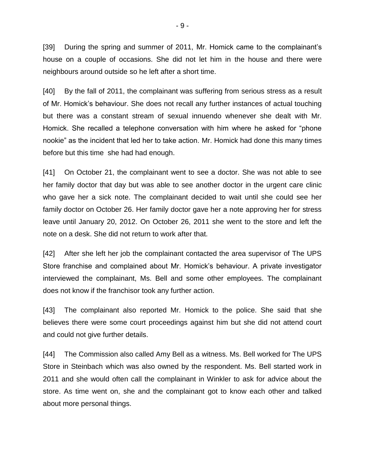[39] During the spring and summer of 2011, Mr. Homick came to the complainant's house on a couple of occasions. She did not let him in the house and there were neighbours around outside so he left after a short time.

[40] By the fall of 2011, the complainant was suffering from serious stress as a result of Mr. Homick's behaviour. She does not recall any further instances of actual touching but there was a constant stream of sexual innuendo whenever she dealt with Mr. Homick. She recalled a telephone conversation with him where he asked for "phone nookie" as the incident that led her to take action. Mr. Homick had done this many times before but this time she had had enough.

[41] On October 21, the complainant went to see a doctor. She was not able to see her family doctor that day but was able to see another doctor in the urgent care clinic who gave her a sick note. The complainant decided to wait until she could see her family doctor on October 26. Her family doctor gave her a note approving her for stress leave until January 20, 2012. On October 26, 2011 she went to the store and left the note on a desk. She did not return to work after that.

[42] After she left her job the complainant contacted the area supervisor of The UPS Store franchise and complained about Mr. Homick's behaviour. A private investigator interviewed the complainant, Ms. Bell and some other employees. The complainant does not know if the franchisor took any further action.

[43] The complainant also reported Mr. Homick to the police. She said that she believes there were some court proceedings against him but she did not attend court and could not give further details.

[44] The Commission also called Amy Bell as a witness. Ms. Bell worked for The UPS Store in Steinbach which was also owned by the respondent. Ms. Bell started work in 2011 and she would often call the complainant in Winkler to ask for advice about the store. As time went on, she and the complainant got to know each other and talked about more personal things.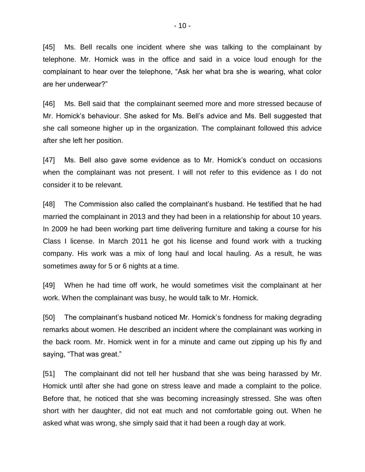[45] Ms. Bell recalls one incident where she was talking to the complainant by telephone. Mr. Homick was in the office and said in a voice loud enough for the complainant to hear over the telephone, "Ask her what bra she is wearing, what color are her underwear?"

[46] Ms. Bell said that the complainant seemed more and more stressed because of Mr. Homick's behaviour. She asked for Ms. Bell's advice and Ms. Bell suggested that she call someone higher up in the organization. The complainant followed this advice after she left her position.

[47] Ms. Bell also gave some evidence as to Mr. Homick's conduct on occasions when the complainant was not present. I will not refer to this evidence as I do not consider it to be relevant.

[48] The Commission also called the complainant's husband. He testified that he had married the complainant in 2013 and they had been in a relationship for about 10 years. In 2009 he had been working part time delivering furniture and taking a course for his Class I license. In March 2011 he got his license and found work with a trucking company. His work was a mix of long haul and local hauling. As a result, he was sometimes away for 5 or 6 nights at a time.

[49] When he had time off work, he would sometimes visit the complainant at her work. When the complainant was busy, he would talk to Mr. Homick.

[50] The complainant's husband noticed Mr. Homick's fondness for making degrading remarks about women. He described an incident where the complainant was working in the back room. Mr. Homick went in for a minute and came out zipping up his fly and saying, "That was great."

[51] The complainant did not tell her husband that she was being harassed by Mr. Homick until after she had gone on stress leave and made a complaint to the police. Before that, he noticed that she was becoming increasingly stressed. She was often short with her daughter, did not eat much and not comfortable going out. When he asked what was wrong, she simply said that it had been a rough day at work.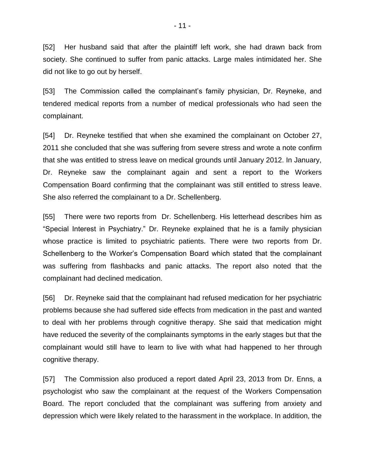[52] Her husband said that after the plaintiff left work, she had drawn back from society. She continued to suffer from panic attacks. Large males intimidated her. She did not like to go out by herself.

[53] The Commission called the complainant's family physician, Dr. Reyneke, and tendered medical reports from a number of medical professionals who had seen the complainant.

[54] Dr. Reyneke testified that when she examined the complainant on October 27, 2011 she concluded that she was suffering from severe stress and wrote a note confirm that she was entitled to stress leave on medical grounds until January 2012. In January, Dr. Reyneke saw the complainant again and sent a report to the Workers Compensation Board confirming that the complainant was still entitled to stress leave. She also referred the complainant to a Dr. Schellenberg.

[55] There were two reports from Dr. Schellenberg. His letterhead describes him as "Special Interest in Psychiatry." Dr. Reyneke explained that he is a family physician whose practice is limited to psychiatric patients. There were two reports from Dr. Schellenberg to the Worker's Compensation Board which stated that the complainant was suffering from flashbacks and panic attacks. The report also noted that the complainant had declined medication.

[56] Dr. Reyneke said that the complainant had refused medication for her psychiatric problems because she had suffered side effects from medication in the past and wanted to deal with her problems through cognitive therapy. She said that medication might have reduced the severity of the complainants symptoms in the early stages but that the complainant would still have to learn to live with what had happened to her through cognitive therapy.

[57] The Commission also produced a report dated April 23, 2013 from Dr. Enns, a psychologist who saw the complainant at the request of the Workers Compensation Board. The report concluded that the complainant was suffering from anxiety and depression which were likely related to the harassment in the workplace. In addition, the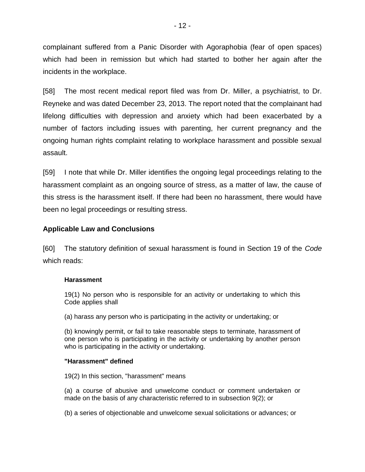complainant suffered from a Panic Disorder with Agoraphobia (fear of open spaces) which had been in remission but which had started to bother her again after the incidents in the workplace.

[58] The most recent medical report filed was from Dr. Miller, a psychiatrist, to Dr. Reyneke and was dated December 23, 2013. The report noted that the complainant had lifelong difficulties with depression and anxiety which had been exacerbated by a number of factors including issues with parenting, her current pregnancy and the ongoing human rights complaint relating to workplace harassment and possible sexual assault.

[59] I note that while Dr. Miller identifies the ongoing legal proceedings relating to the harassment complaint as an ongoing source of stress, as a matter of law, the cause of this stress is the harassment itself. If there had been no harassment, there would have been no legal proceedings or resulting stress.

### **Applicable Law and Conclusions**

[60] The statutory definition of sexual harassment is found in Section 19 of the *Code* which reads:

#### **Harassment**

19(1) No person who is responsible for an activity or undertaking to which this Code applies shall

(a) harass any person who is participating in the activity or undertaking; or

(b) knowingly permit, or fail to take reasonable steps to terminate, harassment of one person who is participating in the activity or undertaking by another person who is participating in the activity or undertaking.

### **"Harassment" defined**

19(2) In this section, "harassment" means

(a) a course of abusive and unwelcome conduct or comment undertaken or made on the basis of any characteristic referred to in subsection 9(2); or

(b) a series of objectionable and unwelcome sexual solicitations or advances; or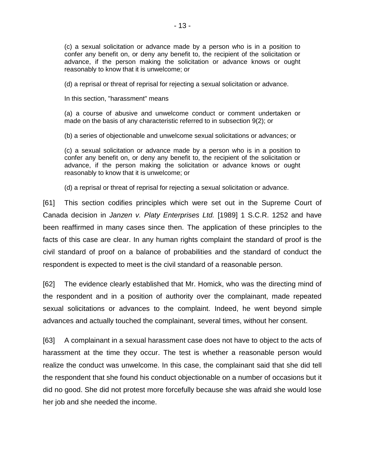(c) a sexual solicitation or advance made by a person who is in a position to confer any benefit on, or deny any benefit to, the recipient of the solicitation or advance, if the person making the solicitation or advance knows or ought reasonably to know that it is unwelcome; or

(d) a reprisal or threat of reprisal for rejecting a sexual solicitation or advance.

In this section, "harassment" means

(a) a course of abusive and unwelcome conduct or comment undertaken or made on the basis of any characteristic referred to in subsection 9(2); or

(b) a series of objectionable and unwelcome sexual solicitations or advances; or

(c) a sexual solicitation or advance made by a person who is in a position to confer any benefit on, or deny any benefit to, the recipient of the solicitation or advance, if the person making the solicitation or advance knows or ought reasonably to know that it is unwelcome; or

(d) a reprisal or threat of reprisal for rejecting a sexual solicitation or advance.

[61] This section codifies principles which were set out in the Supreme Court of Canada decision in *Janzen v. Platy Enterprises Ltd.* [1989] 1 S.C.R. 1252 and have been reaffirmed in many cases since then. The application of these principles to the facts of this case are clear. In any human rights complaint the standard of proof is the civil standard of proof on a balance of probabilities and the standard of conduct the respondent is expected to meet is the civil standard of a reasonable person.

[62] The evidence clearly established that Mr. Homick, who was the directing mind of the respondent and in a position of authority over the complainant, made repeated sexual solicitations or advances to the complaint. Indeed, he went beyond simple advances and actually touched the complainant, several times, without her consent.

[63] A complainant in a sexual harassment case does not have to object to the acts of harassment at the time they occur. The test is whether a reasonable person would realize the conduct was unwelcome. In this case, the complainant said that she did tell the respondent that she found his conduct objectionable on a number of occasions but it did no good. She did not protest more forcefully because she was afraid she would lose her job and she needed the income.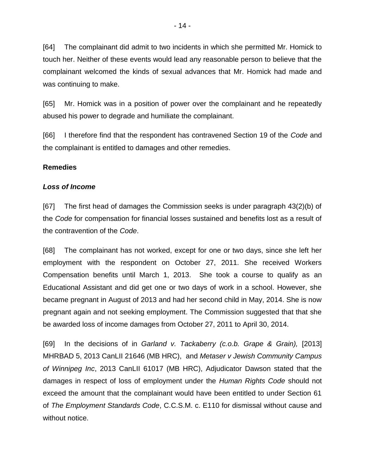[64] The complainant did admit to two incidents in which she permitted Mr. Homick to touch her. Neither of these events would lead any reasonable person to believe that the complainant welcomed the kinds of sexual advances that Mr. Homick had made and was continuing to make.

[65] Mr. Homick was in a position of power over the complainant and he repeatedly abused his power to degrade and humiliate the complainant.

[66] I therefore find that the respondent has contravened Section 19 of the *Code* and the complainant is entitled to damages and other remedies.

### **Remedies**

#### *Loss of Income*

[67] The first head of damages the Commission seeks is under paragraph 43(2)(b) of the *Code* for compensation for financial losses sustained and benefits lost as a result of the contravention of the *Code*.

[68] The complainant has not worked, except for one or two days, since she left her employment with the respondent on October 27, 2011. She received Workers Compensation benefits until March 1, 2013. She took a course to qualify as an Educational Assistant and did get one or two days of work in a school. However, she became pregnant in August of 2013 and had her second child in May, 2014. She is now pregnant again and not seeking employment. The Commission suggested that that she be awarded loss of income damages from October 27, 2011 to April 30, 2014.

[69] In the decisions of in *Garland v. Tackaberry (c.o.b. Grape & Grain),* [2013] MHRBAD 5, 2013 CanLII 21646 (MB HRC), and *Metaser v Jewish Community Campus of Winnipeg Inc*, 2013 CanLII 61017 (MB HRC), Adjudicator Dawson stated that the damages in respect of loss of employment under the *Human Rights Code* should not exceed the amount that the complainant would have been entitled to under Section 61 of *The Employment Standards Code*, C.C.S.M. c. E110 for dismissal without cause and without notice.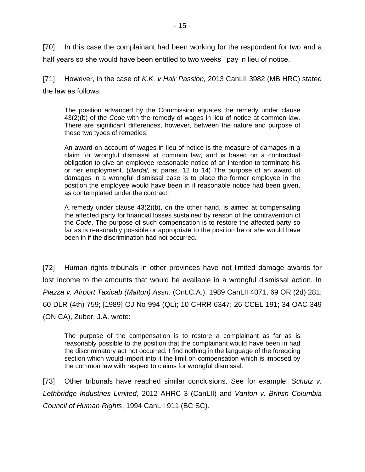[70] In this case the complainant had been working for the respondent for two and a half years so she would have been entitled to two weeks' pay in lieu of notice.

[71] However, in the case of *K.K. v Hair Passion,* 2013 CanLII 3982 (MB HRC) stated the law as follows:

The position advanced by the Commission equates the remedy under [clause](http://www.canlii.org/en/mb/laws/stat/ccsm-c-h175/latest/ccsm-c-h175.html#sec43subsec2_smooth)  [43\(2\)\(](http://www.canlii.org/en/mb/laws/stat/ccsm-c-h175/latest/ccsm-c-h175.html#sec43subsec2_smooth)b) of the *[Code](http://www.canlii.org/en/mb/laws/stat/ccsm-c-h175/latest/ccsm-c-h175.html)* with the remedy of wages in lieu of notice at common law. There are significant differences, however, between the nature and purpose of these two types of remedies.

An award on account of wages in lieu of notice is the measure of damages in a claim for wrongful dismissal at common law, and is based on a contractual obligation to give an employee reasonable notice of an intention to terminate his or her employment. (*Bardal*, at paras. 12 to 14) The purpose of an award of damages in a wrongful dismissal case is to place the former employee in the position the employee would have been in if reasonable notice had been given, as contemplated under the contract.

A remedy under clause  $43(2)(b)$ , on the other hand, is aimed at compensating the affected party for financial losses sustained by reason of the contravention of the *Code*. The purpose of such compensation is to restore the affected party so far as is reasonably possible or appropriate to the position he or she would have been in if the discrimination had not occurred.

[72] Human rights tribunals in other provinces have not limited damage awards for lost income to the amounts that would be available in a wrongful dismissal action. In *Piazza v. Airport Taxicab (Malton) Assn*. (Ont.C.A.), 1989 CanLII 4071, 69 OR (2d) 281; 60 DLR (4th) 759; [1989] OJ No 994 (QL); 10 CHRR 6347; 26 CCEL 191; 34 OAC 349 (ON CA), Zuber, J.A. wrote:

The purpose of the compensation is to restore a complainant as far as is reasonably possible to the position that the complainant would have been in had the discriminatory act not occurred. I find nothing in the language of the foregoing section which would import into it the limit on compensation which is imposed by the common law with respect to claims for wrongful dismissal.

[73] Other tribunals have reached similar conclusions. See for example: *Schulz v. Lethbridge Industries Limited,* 2012 AHRC 3 (CanLII) and *Vanton v. British Columbia Council of Human Rights*, 1994 CanLII 911 (BC SC).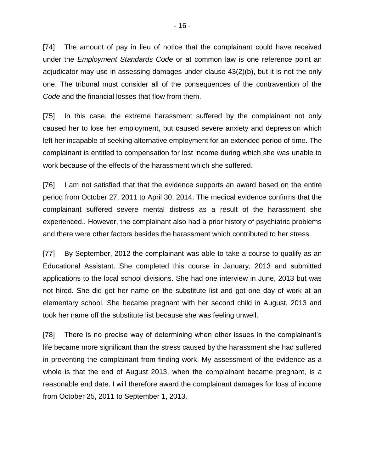[74] The amount of pay in lieu of notice that the complainant could have received under the *Employment Standards Code* or at common law is one reference point an adjudicator may use in assessing damages under clause 43(2)(b), but it is not the only one. The tribunal must consider all of the consequences of the contravention of the *Code* and the financial losses that flow from them.

[75] In this case, the extreme harassment suffered by the complainant not only caused her to lose her employment, but caused severe anxiety and depression which left her incapable of seeking alternative employment for an extended period of time. The complainant is entitled to compensation for lost income during which she was unable to work because of the effects of the harassment which she suffered.

[76] I am not satisfied that that the evidence supports an award based on the entire period from October 27, 2011 to April 30, 2014. The medical evidence confirms that the complainant suffered severe mental distress as a result of the harassment she experienced.. However, the complainant also had a prior history of psychiatric problems and there were other factors besides the harassment which contributed to her stress.

[77] By September, 2012 the complainant was able to take a course to qualify as an Educational Assistant. She completed this course in January, 2013 and submitted applications to the local school divisions. She had one interview in June, 2013 but was not hired. She did get her name on the substitute list and got one day of work at an elementary school. She became pregnant with her second child in August, 2013 and took her name off the substitute list because she was feeling unwell.

[78] There is no precise way of determining when other issues in the complainant's life became more significant than the stress caused by the harassment she had suffered in preventing the complainant from finding work. My assessment of the evidence as a whole is that the end of August 2013, when the complainant became pregnant, is a reasonable end date. I will therefore award the complainant damages for loss of income from October 25, 2011 to September 1, 2013.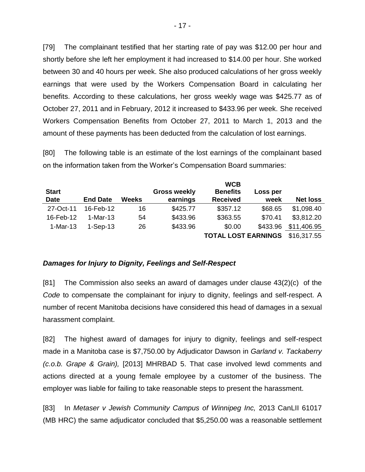[79] The complainant testified that her starting rate of pay was \$12.00 per hour and shortly before she left her employment it had increased to \$14.00 per hour. She worked between 30 and 40 hours per week. She also produced calculations of her gross weekly earnings that were used by the Workers Compensation Board in calculating her benefits. According to these calculations, her gross weekly wage was \$425.77 as of October 27, 2011 and in February, 2012 it increased to \$433.96 per week. She received Workers Compensation Benefits from October 27, 2011 to March 1, 2013 and the amount of these payments has been deducted from the calculation of lost earnings.

[80] The following table is an estimate of the lost earnings of the complainant based on the information taken from the Worker's Compensation Board summaries:

|                 |       |                     | <b>WCB</b>      |          |                            |
|-----------------|-------|---------------------|-----------------|----------|----------------------------|
|                 |       | <b>Gross weekly</b> | <b>Benefits</b> | Loss per |                            |
| <b>End Date</b> | Weeks | earnings            | <b>Received</b> | week     | <b>Net loss</b>            |
| 16-Feb-12       | 16    | \$425.77            | \$357.12        | \$68.65  | \$1,098.40                 |
| $1-Mar-13$      | 54    | \$433.96            | \$363.55        | \$70.41  | \$3,812.20                 |
| $1-Sep-13$      | 26    | \$433.96            | \$0.00          | \$433.96 | \$11,406.95                |
|                 |       |                     |                 |          | \$16,317.55                |
|                 |       |                     |                 |          | <b>TOTAL LOST EARNINGS</b> |

### *Damages for Injury to Dignity, Feelings and Self-Respect*

[81] The Commission also seeks an award of damages under clause 43(2)(c) of the *Code* to compensate the complainant for injury to dignity, feelings and self-respect. A number of recent Manitoba decisions have considered this head of damages in a sexual harassment complaint.

[82] The highest award of damages for injury to dignity, feelings and self-respect made in a Manitoba case is \$7,750.00 by Adjudicator Dawson in *Garland v. Tackaberry (c.o.b. Grape & Grain),* [2013] MHRBAD 5. That case involved lewd comments and actions directed at a young female employee by a customer of the business. The employer was liable for failing to take reasonable steps to present the harassment.

[83] In *Metaser v Jewish Community Campus of Winnipeg Inc,* 2013 CanLII 61017 (MB HRC) the same adjudicator concluded that \$5,250.00 was a reasonable settlement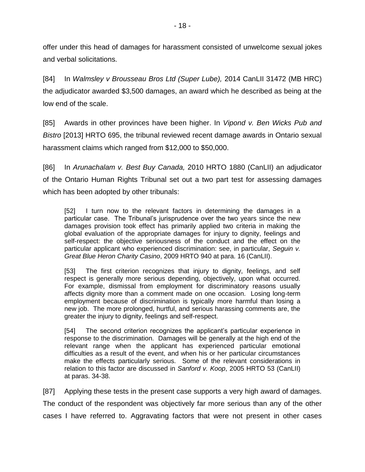offer under this head of damages for harassment consisted of unwelcome sexual jokes and verbal solicitations.

[84] In *Walmsley v Brousseau Bros Ltd (Super Lube),* 2014 CanLII 31472 (MB HRC) the adjudicator awarded \$3,500 damages, an award which he described as being at the low end of the scale.

[85] Awards in other provinces have been higher. In *Vipond v. Ben Wicks Pub and Bistro* [2013] HRTO 695, the tribunal reviewed recent damage awards in Ontario sexual harassment claims which ranged from \$12,000 to \$50,000.

[86] In *Arunachalam v. Best Buy Canada,* 2010 HRTO 1880 (CanLII) an adjudicator of the Ontario Human Rights Tribunal set out a two part test for assessing damages which has been adopted by other tribunals:

[52] I turn now to the relevant factors in determining the damages in a particular case. The Tribunal's jurisprudence over the two years since the new damages provision took effect has primarily applied two criteria in making the global evaluation of the appropriate damages for injury to dignity, feelings and self-respect: the objective seriousness of the conduct and the effect on the particular applicant who experienced discrimination: see, in particular, *Seguin v. Great Blue Heron Charity Casino*, 2009 HRTO 940 at para. 16 (CanLII).

[53] The first criterion recognizes that injury to dignity, feelings, and self respect is generally more serious depending, objectively, upon what occurred. For example, dismissal from employment for discriminatory reasons usually affects dignity more than a comment made on one occasion. Losing long-term employment because of discrimination is typically more harmful than losing a new job. The more prolonged, hurtful, and serious harassing comments are, the greater the injury to dignity, feelings and self-respect.

[54] The second criterion recognizes the applicant's particular experience in response to the discrimination. Damages will be generally at the high end of the relevant range when the applicant has experienced particular emotional difficulties as a result of the event, and when his or her particular circumstances make the effects particularly serious. Some of the relevant considerations in relation to this factor are discussed in *Sanford v. Koop*, 2005 HRTO 53 (CanLII) at paras. 34-38.

[87] Applying these tests in the present case supports a very high award of damages. The conduct of the respondent was objectively far more serious than any of the other cases I have referred to. Aggravating factors that were not present in other cases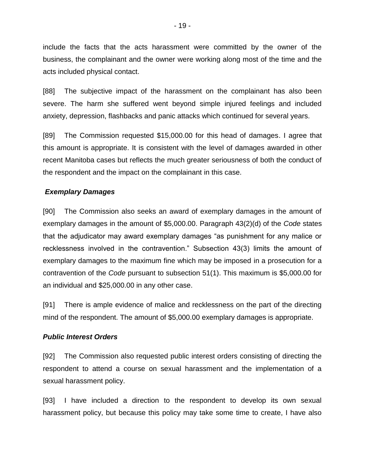include the facts that the acts harassment were committed by the owner of the business, the complainant and the owner were working along most of the time and the acts included physical contact.

[88] The subjective impact of the harassment on the complainant has also been severe. The harm she suffered went beyond simple injured feelings and included anxiety, depression, flashbacks and panic attacks which continued for several years.

[89] The Commission requested \$15,000.00 for this head of damages. I agree that this amount is appropriate. It is consistent with the level of damages awarded in other recent Manitoba cases but reflects the much greater seriousness of both the conduct of the respondent and the impact on the complainant in this case.

# *Exemplary Damages*

[90] The Commission also seeks an award of exemplary damages in the amount of exemplary damages in the amount of \$5,000.00. Paragraph 43(2)(d) of the *Code* states that the adjudicator may award exemplary damages "as punishment for any malice or recklessness involved in the contravention." Subsection 43(3) limits the amount of exemplary damages to the maximum fine which may be imposed in a prosecution for a contravention of the *Code* pursuant to subsection 51(1). This maximum is \$5,000.00 for an individual and \$25,000.00 in any other case.

[91] There is ample evidence of malice and recklessness on the part of the directing mind of the respondent. The amount of \$5,000.00 exemplary damages is appropriate.

### *Public Interest Orders*

[92] The Commission also requested public interest orders consisting of directing the respondent to attend a course on sexual harassment and the implementation of a sexual harassment policy.

[93] I have included a direction to the respondent to develop its own sexual harassment policy, but because this policy may take some time to create, I have also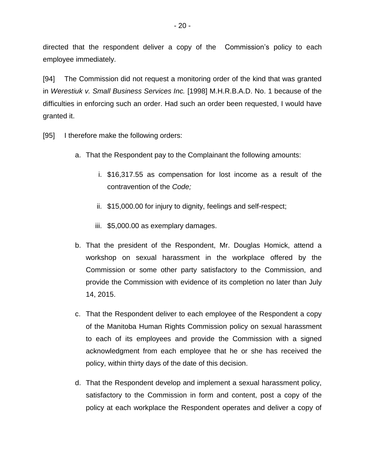directed that the respondent deliver a copy of the Commission's policy to each employee immediately.

[94] The Commission did not request a monitoring order of the kind that was granted in *Werestiuk v. Small Business Services Inc.* [1998] M.H.R.B.A.D. No. 1 because of the difficulties in enforcing such an order. Had such an order been requested, I would have granted it.

- [95] I therefore make the following orders:
	- a. That the Respondent pay to the Complainant the following amounts:
		- i. \$16,317.55 as compensation for lost income as a result of the contravention of the *Code;*
		- ii. \$15,000.00 for injury to dignity, feelings and self-respect;
		- iii. \$5,000.00 as exemplary damages.
	- b. That the president of the Respondent, Mr. Douglas Homick, attend a workshop on sexual harassment in the workplace offered by the Commission or some other party satisfactory to the Commission, and provide the Commission with evidence of its completion no later than July 14, 2015.
	- c. That the Respondent deliver to each employee of the Respondent a copy of the Manitoba Human Rights Commission policy on sexual harassment to each of its employees and provide the Commission with a signed acknowledgment from each employee that he or she has received the policy, within thirty days of the date of this decision.
	- d. That the Respondent develop and implement a sexual harassment policy, satisfactory to the Commission in form and content, post a copy of the policy at each workplace the Respondent operates and deliver a copy of